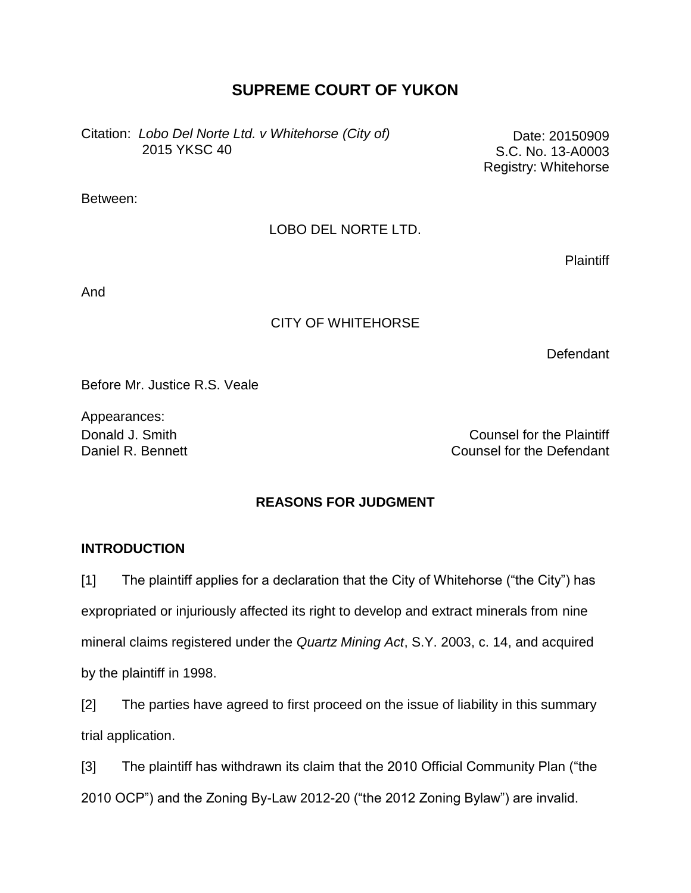# **SUPREME COURT OF YUKON**

Citation: *Lobo Del Norte Ltd. v Whitehorse (City of)* 2015 YKSC 40

Date: 20150909 S.C. No. 13-A0003 Registry: Whitehorse

Between:

LOBO DEL NORTE LTD.

**Plaintiff** 

And

## CITY OF WHITEHORSE

**Defendant** 

Before Mr. Justice R.S. Veale

Appearances:

Donald J. Smith Counsel for the Plaintiff Daniel R. Bennett Counsel for the Defendant

## **REASONS FOR JUDGMENT**

#### **INTRODUCTION**

[1] The plaintiff applies for a declaration that the City of Whitehorse ("the City") has expropriated or injuriously affected its right to develop and extract minerals from nine mineral claims registered under the *Quartz Mining Act*, S.Y. 2003, c. 14, and acquired by the plaintiff in 1998.

[2] The parties have agreed to first proceed on the issue of liability in this summary trial application.

[3] The plaintiff has withdrawn its claim that the 2010 Official Community Plan ("the 2010 OCP") and the Zoning By-Law 2012-20 ("the 2012 Zoning Bylaw") are invalid.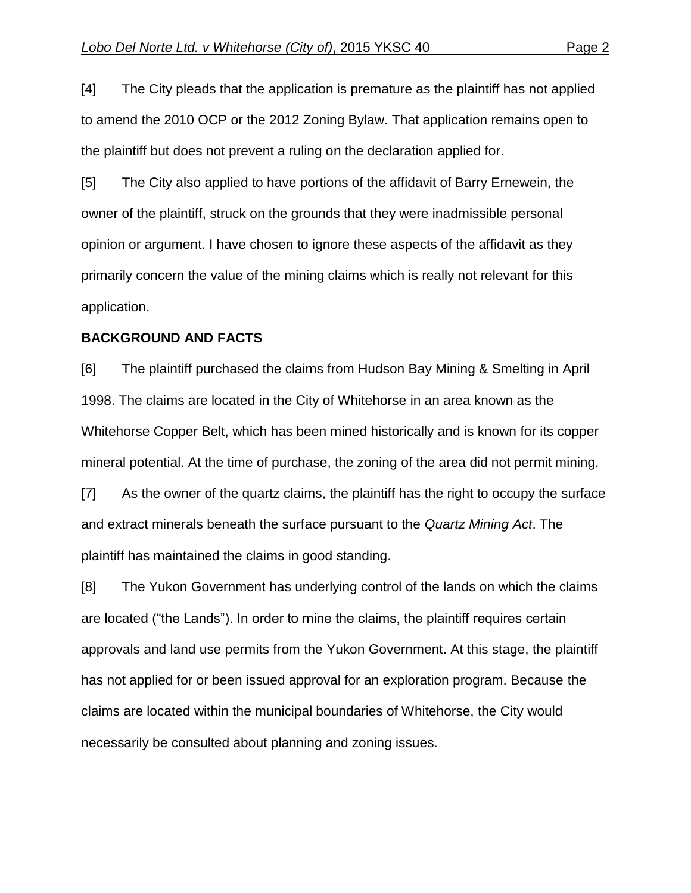[4] The City pleads that the application is premature as the plaintiff has not applied to amend the 2010 OCP or the 2012 Zoning Bylaw. That application remains open to the plaintiff but does not prevent a ruling on the declaration applied for.

[5] The City also applied to have portions of the affidavit of Barry Ernewein, the owner of the plaintiff, struck on the grounds that they were inadmissible personal opinion or argument. I have chosen to ignore these aspects of the affidavit as they primarily concern the value of the mining claims which is really not relevant for this application.

#### **BACKGROUND AND FACTS**

[6] The plaintiff purchased the claims from Hudson Bay Mining & Smelting in April 1998. The claims are located in the City of Whitehorse in an area known as the Whitehorse Copper Belt, which has been mined historically and is known for its copper mineral potential. At the time of purchase, the zoning of the area did not permit mining.

[7] As the owner of the quartz claims, the plaintiff has the right to occupy the surface and extract minerals beneath the surface pursuant to the *Quartz Mining Act*. The plaintiff has maintained the claims in good standing.

[8] The Yukon Government has underlying control of the lands on which the claims are located ("the Lands"). In order to mine the claims, the plaintiff requires certain approvals and land use permits from the Yukon Government. At this stage, the plaintiff has not applied for or been issued approval for an exploration program. Because the claims are located within the municipal boundaries of Whitehorse, the City would necessarily be consulted about planning and zoning issues.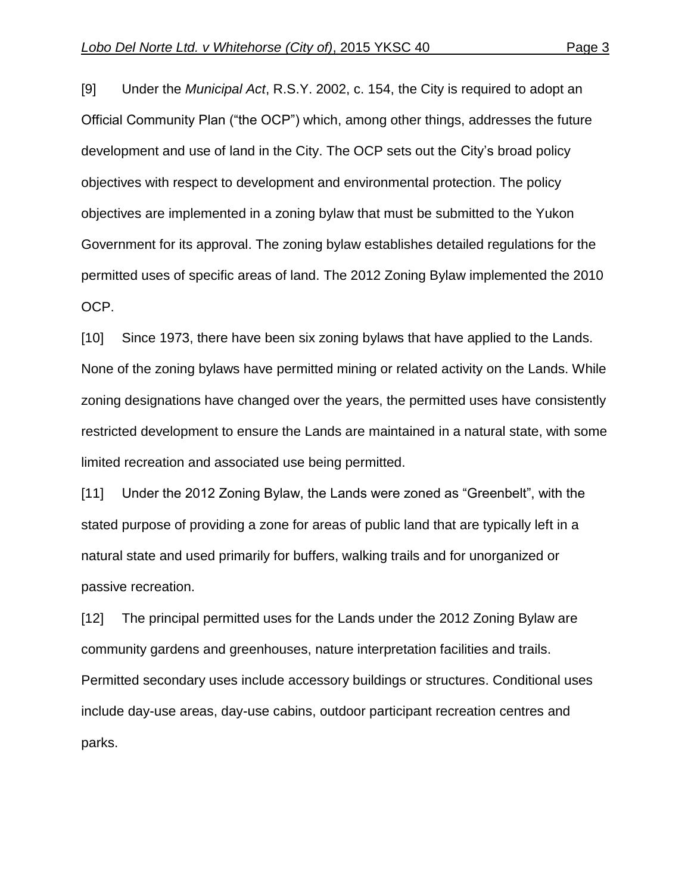[9] Under the *Municipal Act*, R.S.Y. 2002, c. 154, the City is required to adopt an Official Community Plan ("the OCP") which, among other things, addresses the future development and use of land in the City. The OCP sets out the City's broad policy objectives with respect to development and environmental protection. The policy objectives are implemented in a zoning bylaw that must be submitted to the Yukon Government for its approval. The zoning bylaw establishes detailed regulations for the permitted uses of specific areas of land. The 2012 Zoning Bylaw implemented the 2010 OCP.

[10] Since 1973, there have been six zoning bylaws that have applied to the Lands. None of the zoning bylaws have permitted mining or related activity on the Lands. While zoning designations have changed over the years, the permitted uses have consistently restricted development to ensure the Lands are maintained in a natural state, with some limited recreation and associated use being permitted.

[11] Under the 2012 Zoning Bylaw, the Lands were zoned as "Greenbelt", with the stated purpose of providing a zone for areas of public land that are typically left in a natural state and used primarily for buffers, walking trails and for unorganized or passive recreation.

[12] The principal permitted uses for the Lands under the 2012 Zoning Bylaw are community gardens and greenhouses, nature interpretation facilities and trails. Permitted secondary uses include accessory buildings or structures. Conditional uses include day-use areas, day-use cabins, outdoor participant recreation centres and parks.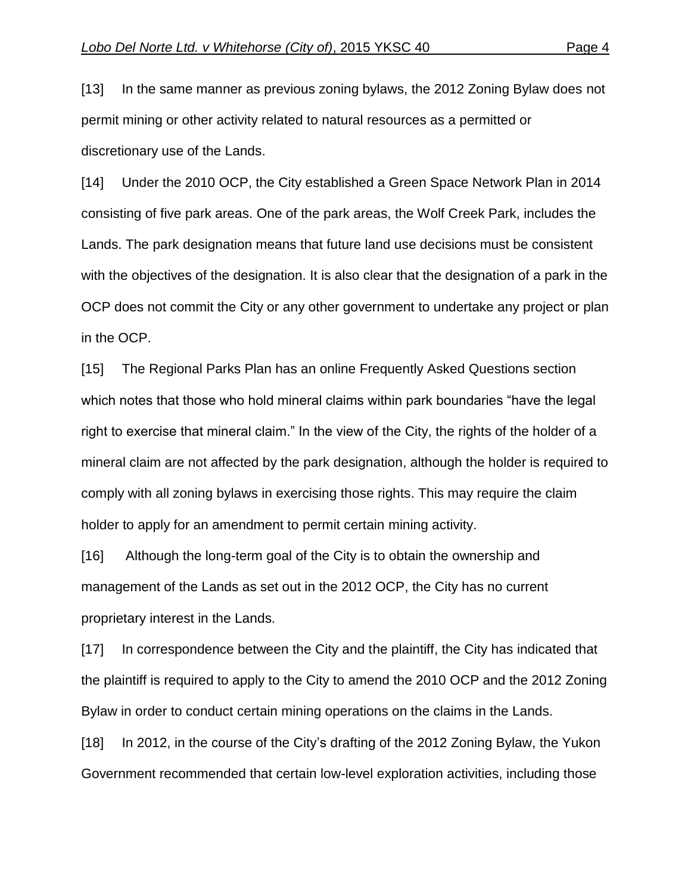[13] In the same manner as previous zoning bylaws, the 2012 Zoning Bylaw does not permit mining or other activity related to natural resources as a permitted or discretionary use of the Lands.

[14] Under the 2010 OCP, the City established a Green Space Network Plan in 2014 consisting of five park areas. One of the park areas, the Wolf Creek Park, includes the Lands. The park designation means that future land use decisions must be consistent with the objectives of the designation. It is also clear that the designation of a park in the OCP does not commit the City or any other government to undertake any project or plan in the OCP.

[15] The Regional Parks Plan has an online Frequently Asked Questions section which notes that those who hold mineral claims within park boundaries "have the legal right to exercise that mineral claim." In the view of the City, the rights of the holder of a mineral claim are not affected by the park designation, although the holder is required to comply with all zoning bylaws in exercising those rights. This may require the claim holder to apply for an amendment to permit certain mining activity.

[16] Although the long-term goal of the City is to obtain the ownership and management of the Lands as set out in the 2012 OCP, the City has no current proprietary interest in the Lands.

[17] In correspondence between the City and the plaintiff, the City has indicated that the plaintiff is required to apply to the City to amend the 2010 OCP and the 2012 Zoning Bylaw in order to conduct certain mining operations on the claims in the Lands.

[18] In 2012, in the course of the City's drafting of the 2012 Zoning Bylaw, the Yukon Government recommended that certain low-level exploration activities, including those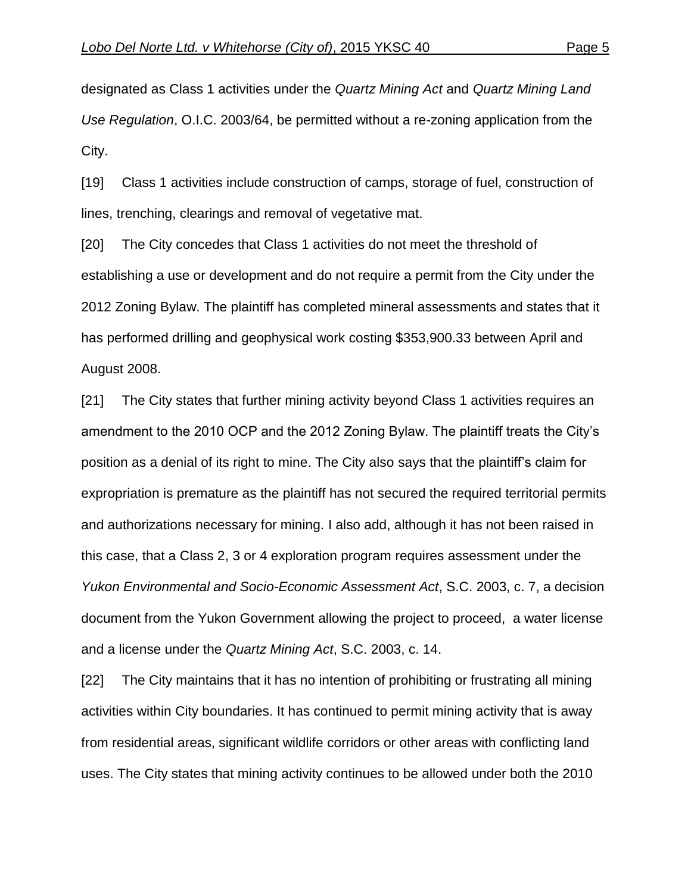designated as Class 1 activities under the *Quartz Mining Act* and *Quartz Mining Land Use Regulation*, O.I.C. 2003/64, be permitted without a re-zoning application from the City.

[19] Class 1 activities include construction of camps, storage of fuel, construction of lines, trenching, clearings and removal of vegetative mat.

[20] The City concedes that Class 1 activities do not meet the threshold of establishing a use or development and do not require a permit from the City under the 2012 Zoning Bylaw. The plaintiff has completed mineral assessments and states that it has performed drilling and geophysical work costing \$353,900.33 between April and August 2008.

[21] The City states that further mining activity beyond Class 1 activities requires an amendment to the 2010 OCP and the 2012 Zoning Bylaw. The plaintiff treats the City's position as a denial of its right to mine. The City also says that the plaintiff's claim for expropriation is premature as the plaintiff has not secured the required territorial permits and authorizations necessary for mining. I also add, although it has not been raised in this case, that a Class 2, 3 or 4 exploration program requires assessment under the *Yukon Environmental and Socio-Economic Assessment Act*, S.C. 2003, c. 7, a decision document from the Yukon Government allowing the project to proceed, a water license and a license under the *Quartz Mining Act*, S.C. 2003, c. 14.

[22] The City maintains that it has no intention of prohibiting or frustrating all mining activities within City boundaries. It has continued to permit mining activity that is away from residential areas, significant wildlife corridors or other areas with conflicting land uses. The City states that mining activity continues to be allowed under both the 2010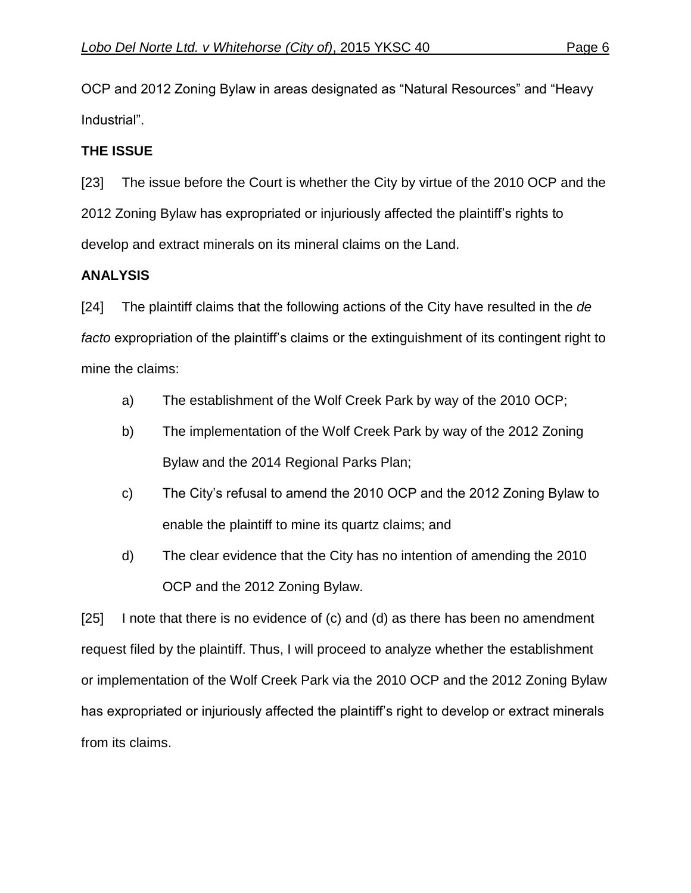OCP and 2012 Zoning Bylaw in areas designated as "Natural Resources" and "Heavy Industrial".

## **THE ISSUE**

[23] The issue before the Court is whether the City by virtue of the 2010 OCP and the 2012 Zoning Bylaw has expropriated or injuriously affected the plaintiff's rights to develop and extract minerals on its mineral claims on the Land.

## **ANALYSIS**

[24] The plaintiff claims that the following actions of the City have resulted in the *de facto* expropriation of the plaintiff's claims or the extinguishment of its contingent right to mine the claims:

- a) The establishment of the Wolf Creek Park by way of the 2010 OCP;
- b) The implementation of the Wolf Creek Park by way of the 2012 Zoning Bylaw and the 2014 Regional Parks Plan;
- c) The City's refusal to amend the 2010 OCP and the 2012 Zoning Bylaw to enable the plaintiff to mine its quartz claims; and
- d) The clear evidence that the City has no intention of amending the 2010 OCP and the 2012 Zoning Bylaw.

[25] I note that there is no evidence of (c) and (d) as there has been no amendment request filed by the plaintiff. Thus, I will proceed to analyze whether the establishment or implementation of the Wolf Creek Park via the 2010 OCP and the 2012 Zoning Bylaw has expropriated or injuriously affected the plaintiff's right to develop or extract minerals from its claims.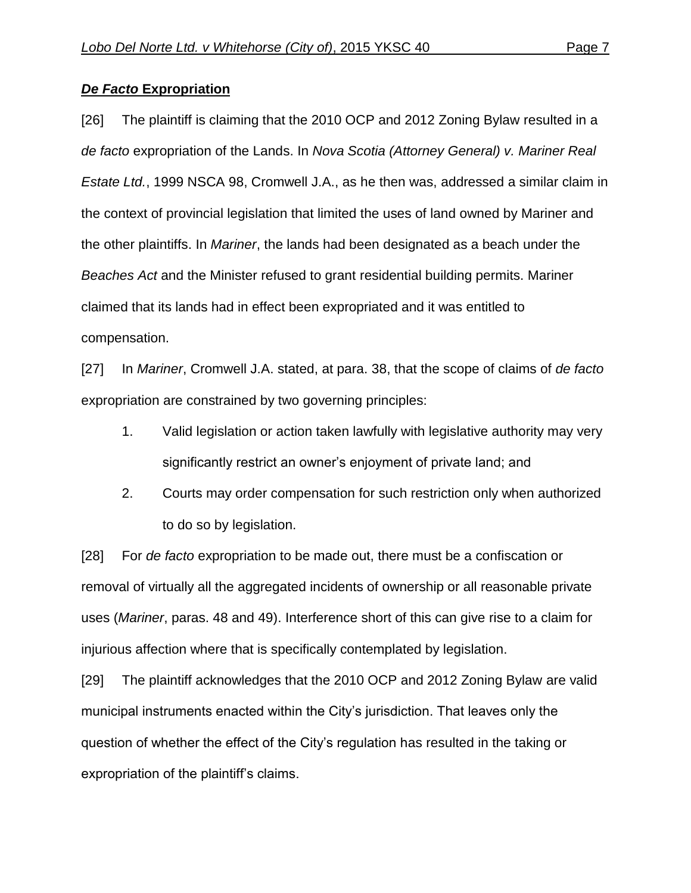## *De Facto* **Expropriation**

[26] The plaintiff is claiming that the 2010 OCP and 2012 Zoning Bylaw resulted in a *de facto* expropriation of the Lands. In *Nova Scotia (Attorney General) v. Mariner Real Estate Ltd.*, 1999 NSCA 98, Cromwell J.A., as he then was, addressed a similar claim in the context of provincial legislation that limited the uses of land owned by Mariner and the other plaintiffs. In *Mariner*, the lands had been designated as a beach under the *Beaches Act* and the Minister refused to grant residential building permits. Mariner claimed that its lands had in effect been expropriated and it was entitled to compensation.

[27] In *Mariner*, Cromwell J.A. stated, at para. 38, that the scope of claims of *de facto* expropriation are constrained by two governing principles:

- 1. Valid legislation or action taken lawfully with legislative authority may very significantly restrict an owner's enjoyment of private land; and
- 2. Courts may order compensation for such restriction only when authorized to do so by legislation.

[28] For *de facto* expropriation to be made out, there must be a confiscation or removal of virtually all the aggregated incidents of ownership or all reasonable private uses (*Mariner*, paras. 48 and 49). Interference short of this can give rise to a claim for injurious affection where that is specifically contemplated by legislation.

[29] The plaintiff acknowledges that the 2010 OCP and 2012 Zoning Bylaw are valid municipal instruments enacted within the City's jurisdiction. That leaves only the question of whether the effect of the City's regulation has resulted in the taking or expropriation of the plaintiff's claims.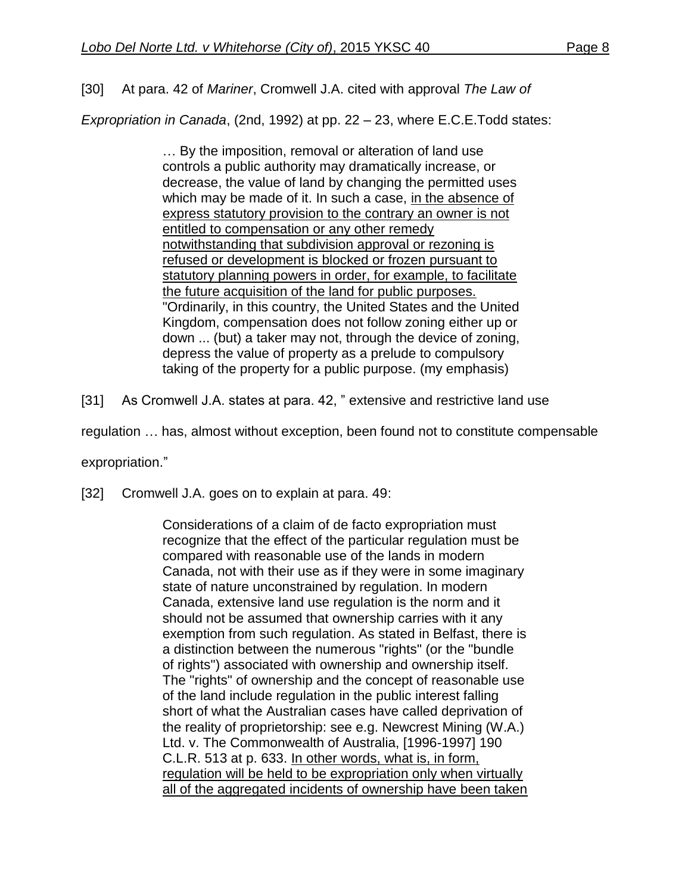[30] At para. 42 of *Mariner*, Cromwell J.A. cited with approval *The Law of* 

*Expropriation in Canada*, (2nd, 1992) at pp. 22 – 23, where E.C.E.Todd states:

… By the imposition, removal or alteration of land use controls a public authority may dramatically increase, or decrease, the value of land by changing the permitted uses which may be made of it. In such a case, in the absence of express statutory provision to the contrary an owner is not entitled to compensation or any other remedy notwithstanding that subdivision approval or rezoning is refused or development is blocked or frozen pursuant to statutory planning powers in order, for example, to facilitate the future acquisition of the land for public purposes. "Ordinarily, in this country, the United States and the United Kingdom, compensation does not follow zoning either up or down ... (but) a taker may not, through the device of zoning, depress the value of property as a prelude to compulsory taking of the property for a public purpose. (my emphasis)

[31] As Cromwell J.A. states at para. 42, " extensive and restrictive land use

regulation … has, almost without exception, been found not to constitute compensable

expropriation."

[32] Cromwell J.A. goes on to explain at para. 49:

Considerations of a claim of de facto expropriation must recognize that the effect of the particular regulation must be compared with reasonable use of the lands in modern Canada, not with their use as if they were in some imaginary state of nature unconstrained by regulation. In modern Canada, extensive land use regulation is the norm and it should not be assumed that ownership carries with it any exemption from such regulation. As stated in Belfast, there is a distinction between the numerous "rights" (or the "bundle of rights") associated with ownership and ownership itself. The "rights" of ownership and the concept of reasonable use of the land include regulation in the public interest falling short of what the Australian cases have called deprivation of the reality of proprietorship: see e.g. Newcrest Mining (W.A.) Ltd. v. The Commonwealth of Australia, [1996-1997] 190 C.L.R. 513 at p. 633. In other words, what is, in form, regulation will be held to be expropriation only when virtually all of the aggregated incidents of ownership have been taken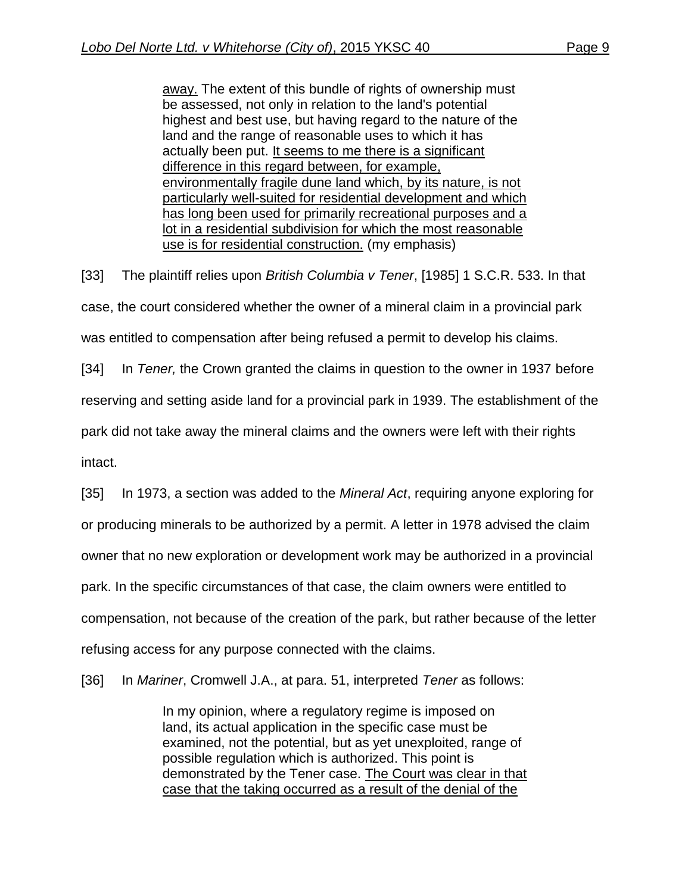away. The extent of this bundle of rights of ownership must be assessed, not only in relation to the land's potential highest and best use, but having regard to the nature of the land and the range of reasonable uses to which it has actually been put. It seems to me there is a significant difference in this regard between, for example, environmentally fragile dune land which, by its nature, is not particularly well-suited for residential development and which has long been used for primarily recreational purposes and a lot in a residential subdivision for which the most reasonable use is for residential construction. (my emphasis)

[33] The plaintiff relies upon *British Columbia v Tener*, [1985] 1 S.C.R. 533. In that case, the court considered whether the owner of a mineral claim in a provincial park was entitled to compensation after being refused a permit to develop his claims.

[34] In *Tener,* the Crown granted the claims in question to the owner in 1937 before

reserving and setting aside land for a provincial park in 1939. The establishment of the

park did not take away the mineral claims and the owners were left with their rights

intact.

[35] In 1973, a section was added to the *Mineral Act*, requiring anyone exploring for or producing minerals to be authorized by a permit. A letter in 1978 advised the claim owner that no new exploration or development work may be authorized in a provincial park. In the specific circumstances of that case, the claim owners were entitled to compensation, not because of the creation of the park, but rather because of the letter refusing access for any purpose connected with the claims.

[36] In *Mariner*, Cromwell J.A., at para. 51, interpreted *Tener* as follows:

In my opinion, where a regulatory regime is imposed on land, its actual application in the specific case must be examined, not the potential, but as yet unexploited, range of possible regulation which is authorized. This point is demonstrated by the Tener case. The Court was clear in that case that the taking occurred as a result of the denial of the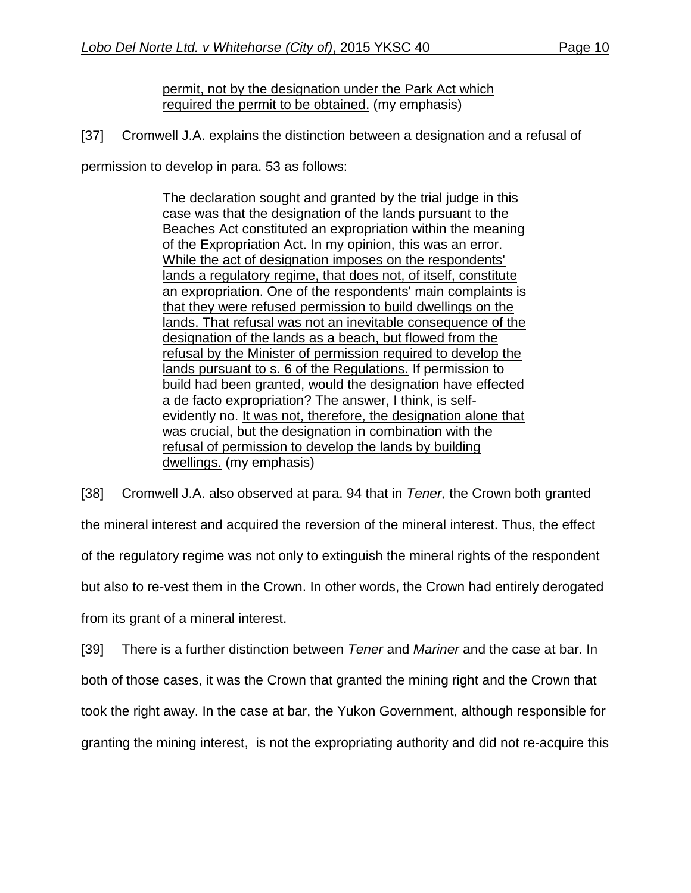## permit, not by the designation under the Park Act which required the permit to be obtained. (my emphasis)

[37] Cromwell J.A. explains the distinction between a designation and a refusal of

permission to develop in para. 53 as follows:

The declaration sought and granted by the trial judge in this case was that the designation of the lands pursuant to the Beaches Act constituted an expropriation within the meaning of the Expropriation Act. In my opinion, this was an error. While the act of designation imposes on the respondents' lands a regulatory regime, that does not, of itself, constitute an expropriation. One of the respondents' main complaints is that they were refused permission to build dwellings on the lands. That refusal was not an inevitable consequence of the designation of the lands as a beach, but flowed from the refusal by the Minister of permission required to develop the lands pursuant to s. 6 of the Regulations. If permission to build had been granted, would the designation have effected a de facto expropriation? The answer, I think, is selfevidently no. It was not, therefore, the designation alone that was crucial, but the designation in combination with the refusal of permission to develop the lands by building dwellings. (my emphasis)

[38] Cromwell J.A. also observed at para. 94 that in *Tener,* the Crown both granted the mineral interest and acquired the reversion of the mineral interest. Thus, the effect of the regulatory regime was not only to extinguish the mineral rights of the respondent but also to re-vest them in the Crown. In other words, the Crown had entirely derogated from its grant of a mineral interest.

[39] There is a further distinction between *Tener* and *Mariner* and the case at bar. In both of those cases, it was the Crown that granted the mining right and the Crown that took the right away. In the case at bar, the Yukon Government, although responsible for granting the mining interest, is not the expropriating authority and did not re-acquire this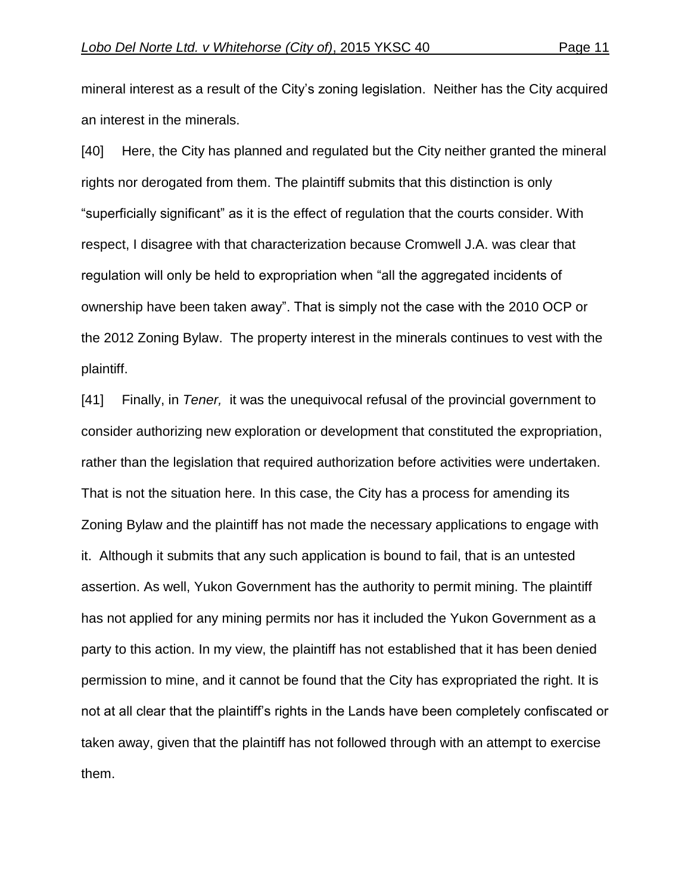mineral interest as a result of the City's zoning legislation. Neither has the City acquired an interest in the minerals.

[40] Here, the City has planned and regulated but the City neither granted the mineral rights nor derogated from them. The plaintiff submits that this distinction is only "superficially significant" as it is the effect of regulation that the courts consider. With respect, I disagree with that characterization because Cromwell J.A. was clear that regulation will only be held to expropriation when "all the aggregated incidents of ownership have been taken away". That is simply not the case with the 2010 OCP or the 2012 Zoning Bylaw. The property interest in the minerals continues to vest with the plaintiff.

[41] Finally, in *Tener,* it was the unequivocal refusal of the provincial government to consider authorizing new exploration or development that constituted the expropriation, rather than the legislation that required authorization before activities were undertaken. That is not the situation here. In this case, the City has a process for amending its Zoning Bylaw and the plaintiff has not made the necessary applications to engage with it. Although it submits that any such application is bound to fail, that is an untested assertion. As well, Yukon Government has the authority to permit mining. The plaintiff has not applied for any mining permits nor has it included the Yukon Government as a party to this action. In my view, the plaintiff has not established that it has been denied permission to mine, and it cannot be found that the City has expropriated the right. It is not at all clear that the plaintiff's rights in the Lands have been completely confiscated or taken away, given that the plaintiff has not followed through with an attempt to exercise them.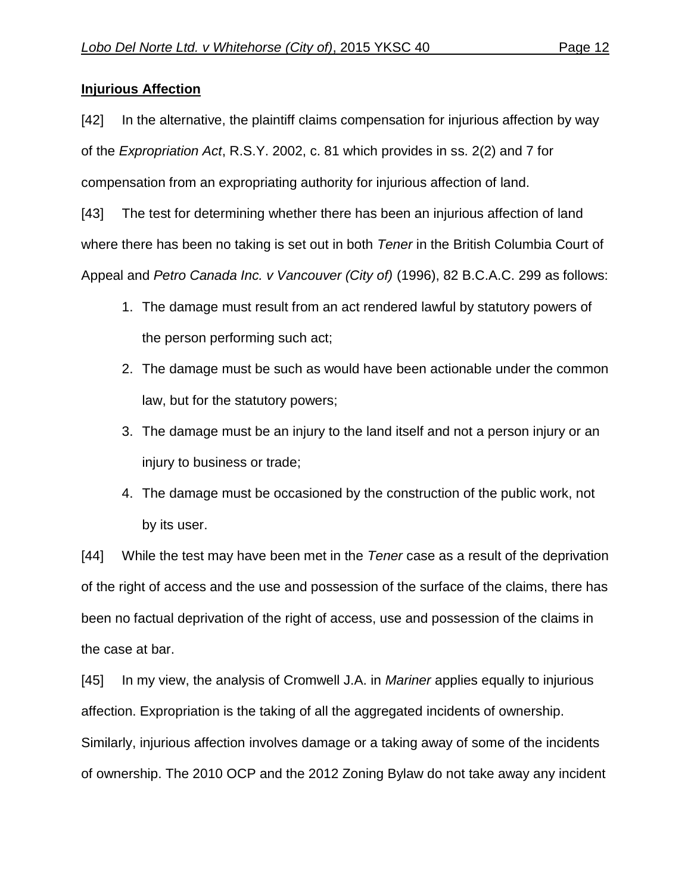## **Injurious Affection**

[42] In the alternative, the plaintiff claims compensation for injurious affection by way of the *Expropriation Act*, R.S.Y. 2002, c. 81 which provides in ss. 2(2) and 7 for compensation from an expropriating authority for injurious affection of land.

[43] The test for determining whether there has been an injurious affection of land where there has been no taking is set out in both *Tener* in the British Columbia Court of Appeal and *Petro Canada Inc. v Vancouver (City of)* (1996), 82 B.C.A.C. 299 as follows:

- 1. The damage must result from an act rendered lawful by statutory powers of the person performing such act;
- 2. The damage must be such as would have been actionable under the common law, but for the statutory powers;
- 3. The damage must be an injury to the land itself and not a person injury or an injury to business or trade;
- 4. The damage must be occasioned by the construction of the public work, not by its user.

[44] While the test may have been met in the *Tener* case as a result of the deprivation of the right of access and the use and possession of the surface of the claims, there has been no factual deprivation of the right of access, use and possession of the claims in the case at bar.

[45] In my view, the analysis of Cromwell J.A. in *Mariner* applies equally to injurious affection. Expropriation is the taking of all the aggregated incidents of ownership. Similarly, injurious affection involves damage or a taking away of some of the incidents of ownership. The 2010 OCP and the 2012 Zoning Bylaw do not take away any incident